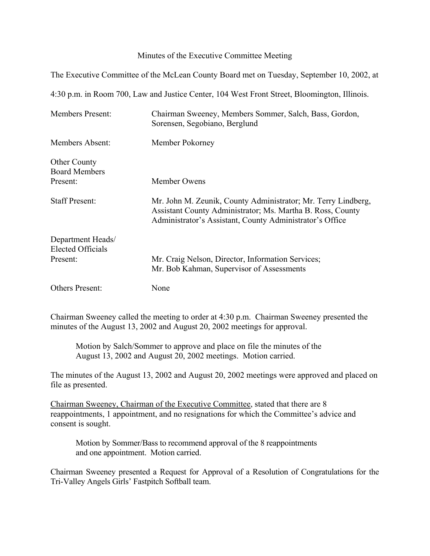## Minutes of the Executive Committee Meeting

The Executive Committee of the McLean County Board met on Tuesday, September 10, 2002, at

4:30 p.m. in Room 700, Law and Justice Center, 104 West Front Street, Bloomington, Illinois.

| <b>Members Present:</b>                       | Chairman Sweeney, Members Sommer, Salch, Bass, Gordon,<br>Sorensen, Segobiano, Berglund                                                                                                 |
|-----------------------------------------------|-----------------------------------------------------------------------------------------------------------------------------------------------------------------------------------------|
| Members Absent:                               | Member Pokorney                                                                                                                                                                         |
| <b>Other County</b><br><b>Board Members</b>   |                                                                                                                                                                                         |
| Present:                                      | Member Owens                                                                                                                                                                            |
| <b>Staff Present:</b>                         | Mr. John M. Zeunik, County Administrator; Mr. Terry Lindberg,<br>Assistant County Administrator; Ms. Martha B. Ross, County<br>Administrator's Assistant, County Administrator's Office |
| Department Heads/<br><b>Elected Officials</b> |                                                                                                                                                                                         |
| Present:                                      | Mr. Craig Nelson, Director, Information Services;<br>Mr. Bob Kahman, Supervisor of Assessments                                                                                          |
| Others Present:                               | None                                                                                                                                                                                    |

Chairman Sweeney called the meeting to order at 4:30 p.m. Chairman Sweeney presented the minutes of the August 13, 2002 and August 20, 2002 meetings for approval.

Motion by Salch/Sommer to approve and place on file the minutes of the August 13, 2002 and August 20, 2002 meetings. Motion carried.

The minutes of the August 13, 2002 and August 20, 2002 meetings were approved and placed on file as presented.

Chairman Sweeney, Chairman of the Executive Committee, stated that there are 8 reappointments, 1 appointment, and no resignations for which the Committee's advice and consent is sought.

Motion by Sommer/Bass to recommend approval of the 8 reappointments and one appointment. Motion carried.

Chairman Sweeney presented a Request for Approval of a Resolution of Congratulations for the Tri-Valley Angels Girls' Fastpitch Softball team.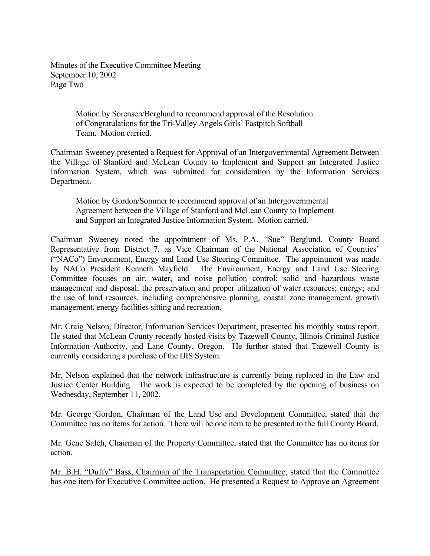Minutes of the Executive Committee Meeting September 10, 2002 Page Two

> Motion by Sorensen/Berglund to recommend approval of the Resolution of Congratulations for the Tri-Valley Angels Girls' Fastpitch Softball Team. Motion carried.

Chairman Sweeney presented a Request for Approval of an Intergovernmental Agreement Between the Village of Stanford and McLean County to Implement and Support an Integrated Justice Information System, which was submitted for consideration by the Information Services Department.

Motion by Gordon/Sommer to recommend approval of an Intergovernmental Agreement between the Village of Stanford and McLean County to Implement and Support an Integrated Justice Information System. Motion carried.

Chairman Sweeney noted the appointment of Ms. P.A. "Sue" Berglund, County Board Representative from District 7, as Vice Chairman of the National Association of Counties' ("NACo") Environment, Energy and Land Use Steering Committee. The appointment was made by NACo President Kenneth Mayfield. The Environment, Energy and Land Use Steering Committee focuses on air, water, and noise pollution control; solid and hazardous waste management and disposal; the preservation and proper utilization of water resources; energy; and the use of land resources, including comprehensive planning, coastal zone management, growth management, energy facilities sitting and recreation.

Mr. Craig Nelson, Director, Information Services Department, presented his monthly status report. He stated that McLean County recently hosted visits by Tazewell County, Illinois Criminal Justice Information Authority, and Lane County, Oregon. He further stated that Tazewell County is currently considering a purchase of the IJIS System.

Mr. Nelson explained that the network infrastructure is currently being replaced in the Law and Justice Center Building. The work is expected to be completed by the opening of business on Wednesday, September 11, 2002.

Mr. George Gordon, Chairman of the Land Use and Development Committee, stated that the Committee has no items for action. There will be one item to be presented to the full County Board.

Mr. Gene Salch, Chairman of the Property Committee, stated that the Committee has no items for action.

Mr. B.H. "Duffy" Bass, Chairman of the Transportation Committee, stated that the Committee has one item for Executive Committee action. He presented a Request to Approve an Agreement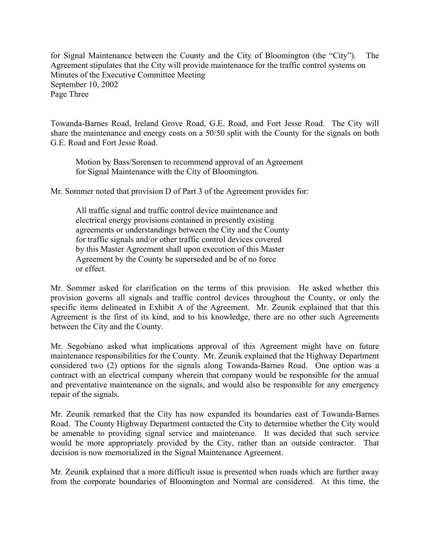for Signal Maintenance between the County and the City of Bloomington (the "City"). The Agreement stipulates that the City will provide maintenance for the traffic control systems on Minutes of the Executive Committee Meeting September 10, 2002 Page Three

Towanda-Barnes Road, Ireland Grove Road, G.E. Road, and Fort Jesse Road. The City will share the maintenance and energy costs on a 50/50 split with the County for the signals on both G.E. Road and Fort Jesse Road.

Motion by Bass/Sorensen to recommend approval of an Agreement for Signal Maintenance with the City of Bloomington.

Mr. Sommer noted that provision D of Part 3 of the Agreement provides for:

All traffic signal and traffic control device maintenance and electrical energy provisions contained in presently existing agreements or understandings between the City and the County for traffic signals and/or other traffic control devices covered by this Master Agreement shall upon execution of this Master Agreement by the County be superseded and be of no force or effect.

Mr. Sommer asked for clarification on the terms of this provision. He asked whether this provision governs all signals and traffic control devices throughout the County, or only the specific items delineated in Exhibit A of the Agreement. Mr. Zeunik explained that that this Agreement is the first of its kind, and to his knowledge, there are no other such Agreements between the City and the County.

Mr. Segobiano asked what implications approval of this Agreement might have on future maintenance responsibilities for the County. Mr. Zeunik explained that the Highway Department considered two (2) options for the signals along Towanda-Barnes Road. One option was a contract with an electrical company wherein that company would be responsible for the annual and preventative maintenance on the signals, and would also be responsible for any emergency repair of the signals.

Mr. Zeunik remarked that the City has now expanded its boundaries east of Towanda-Barnes Road. The County Highway Department contacted the City to determine whether the City would be amenable to providing signal service and maintenance. It was decided that such service would be more appropriately provided by the City, rather than an outside contractor. That decision is now memorialized in the Signal Maintenance Agreement.

Mr. Zeunik explained that a more difficult issue is presented when roads which are further away from the corporate boundaries of Bloomington and Normal are considered. At this time, the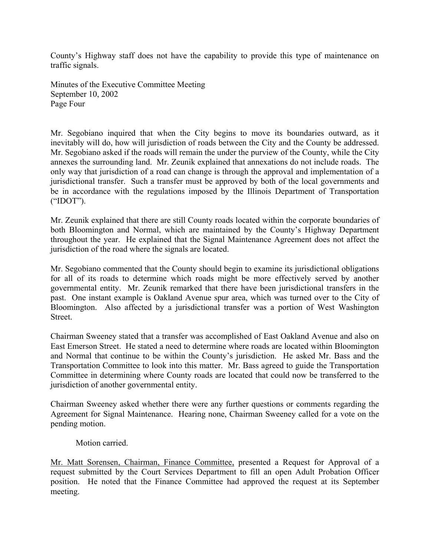County's Highway staff does not have the capability to provide this type of maintenance on traffic signals.

Minutes of the Executive Committee Meeting September 10, 2002 Page Four

Mr. Segobiano inquired that when the City begins to move its boundaries outward, as it inevitably will do, how will jurisdiction of roads between the City and the County be addressed. Mr. Segobiano asked if the roads will remain the under the purview of the County, while the City annexes the surrounding land. Mr. Zeunik explained that annexations do not include roads. The only way that jurisdiction of a road can change is through the approval and implementation of a jurisdictional transfer. Such a transfer must be approved by both of the local governments and be in accordance with the regulations imposed by the Illinois Department of Transportation ("IDOT").

Mr. Zeunik explained that there are still County roads located within the corporate boundaries of both Bloomington and Normal, which are maintained by the County's Highway Department throughout the year. He explained that the Signal Maintenance Agreement does not affect the jurisdiction of the road where the signals are located.

Mr. Segobiano commented that the County should begin to examine its jurisdictional obligations for all of its roads to determine which roads might be more effectively served by another governmental entity. Mr. Zeunik remarked that there have been jurisdictional transfers in the past. One instant example is Oakland Avenue spur area, which was turned over to the City of Bloomington. Also affected by a jurisdictional transfer was a portion of West Washington Street.

Chairman Sweeney stated that a transfer was accomplished of East Oakland Avenue and also on East Emerson Street. He stated a need to determine where roads are located within Bloomington and Normal that continue to be within the County's jurisdiction. He asked Mr. Bass and the Transportation Committee to look into this matter. Mr. Bass agreed to guide the Transportation Committee in determining where County roads are located that could now be transferred to the jurisdiction of another governmental entity.

Chairman Sweeney asked whether there were any further questions or comments regarding the Agreement for Signal Maintenance. Hearing none, Chairman Sweeney called for a vote on the pending motion.

Motion carried.

Mr. Matt Sorensen, Chairman, Finance Committee, presented a Request for Approval of a request submitted by the Court Services Department to fill an open Adult Probation Officer position. He noted that the Finance Committee had approved the request at its September meeting.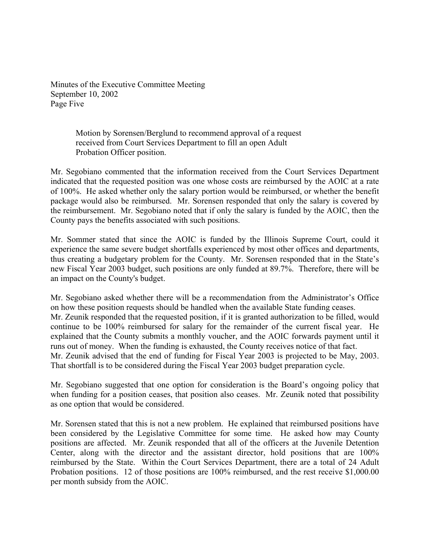Minutes of the Executive Committee Meeting September 10, 2002 Page Five

> Motion by Sorensen/Berglund to recommend approval of a request received from Court Services Department to fill an open Adult Probation Officer position.

Mr. Segobiano commented that the information received from the Court Services Department indicated that the requested position was one whose costs are reimbursed by the AOIC at a rate of 100%. He asked whether only the salary portion would be reimbursed, or whether the benefit package would also be reimbursed. Mr. Sorensen responded that only the salary is covered by the reimbursement. Mr. Segobiano noted that if only the salary is funded by the AOIC, then the County pays the benefits associated with such positions.

Mr. Sommer stated that since the AOIC is funded by the Illinois Supreme Court, could it experience the same severe budget shortfalls experienced by most other offices and departments, thus creating a budgetary problem for the County. Mr. Sorensen responded that in the State's new Fiscal Year 2003 budget, such positions are only funded at 89.7%. Therefore, there will be an impact on the County's budget.

Mr. Segobiano asked whether there will be a recommendation from the Administrator's Office on how these position requests should be handled when the available State funding ceases. Mr. Zeunik responded that the requested position, if it is granted authorization to be filled, would continue to be 100% reimbursed for salary for the remainder of the current fiscal year. He explained that the County submits a monthly voucher, and the AOIC forwards payment until it runs out of money. When the funding is exhausted, the County receives notice of that fact. Mr. Zeunik advised that the end of funding for Fiscal Year 2003 is projected to be May, 2003. That shortfall is to be considered during the Fiscal Year 2003 budget preparation cycle.

Mr. Segobiano suggested that one option for consideration is the Board's ongoing policy that when funding for a position ceases, that position also ceases. Mr. Zeunik noted that possibility as one option that would be considered.

Mr. Sorensen stated that this is not a new problem. He explained that reimbursed positions have been considered by the Legislative Committee for some time. He asked how may County positions are affected. Mr. Zeunik responded that all of the officers at the Juvenile Detention Center, along with the director and the assistant director, hold positions that are 100% reimbursed by the State. Within the Court Services Department, there are a total of 24 Adult Probation positions. 12 of those positions are 100% reimbursed, and the rest receive \$1,000.00 per month subsidy from the AOIC.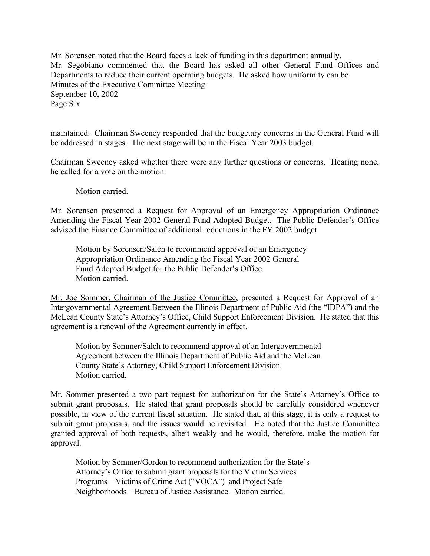Mr. Sorensen noted that the Board faces a lack of funding in this department annually. Mr. Segobiano commented that the Board has asked all other General Fund Offices and Departments to reduce their current operating budgets. He asked how uniformity can be Minutes of the Executive Committee Meeting September 10, 2002 Page Six

maintained. Chairman Sweeney responded that the budgetary concerns in the General Fund will be addressed in stages. The next stage will be in the Fiscal Year 2003 budget.

Chairman Sweeney asked whether there were any further questions or concerns. Hearing none, he called for a vote on the motion.

Motion carried.

Mr. Sorensen presented a Request for Approval of an Emergency Appropriation Ordinance Amending the Fiscal Year 2002 General Fund Adopted Budget. The Public Defender's Office advised the Finance Committee of additional reductions in the FY 2002 budget.

Motion by Sorensen/Salch to recommend approval of an Emergency Appropriation Ordinance Amending the Fiscal Year 2002 General Fund Adopted Budget for the Public Defender's Office. Motion carried.

Mr. Joe Sommer, Chairman of the Justice Committee, presented a Request for Approval of an Intergovernmental Agreement Between the Illinois Department of Public Aid (the "IDPA") and the McLean County State's Attorney's Office, Child Support Enforcement Division. He stated that this agreement is a renewal of the Agreement currently in effect.

Motion by Sommer/Salch to recommend approval of an Intergovernmental Agreement between the Illinois Department of Public Aid and the McLean County State's Attorney, Child Support Enforcement Division. Motion carried.

Mr. Sommer presented a two part request for authorization for the State's Attorney's Office to submit grant proposals. He stated that grant proposals should be carefully considered whenever possible, in view of the current fiscal situation. He stated that, at this stage, it is only a request to submit grant proposals, and the issues would be revisited. He noted that the Justice Committee granted approval of both requests, albeit weakly and he would, therefore, make the motion for approval.

Motion by Sommer/Gordon to recommend authorization for the State's Attorney's Office to submit grant proposals for the Victim Services Programs – Victims of Crime Act ("VOCA") and Project Safe Neighborhoods – Bureau of Justice Assistance. Motion carried.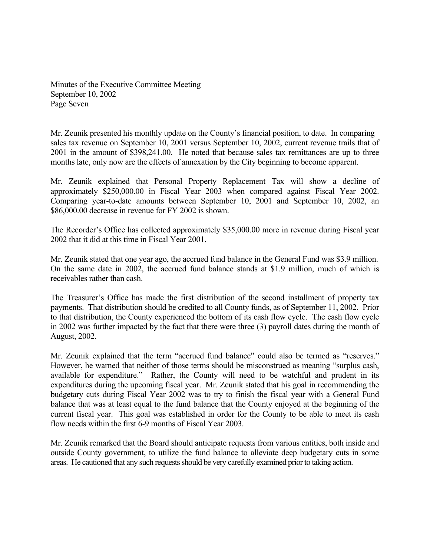Minutes of the Executive Committee Meeting September 10, 2002 Page Seven

Mr. Zeunik presented his monthly update on the County's financial position, to date. In comparing sales tax revenue on September 10, 2001 versus September 10, 2002, current revenue trails that of 2001 in the amount of \$398,241.00. He noted that because sales tax remittances are up to three months late, only now are the effects of annexation by the City beginning to become apparent.

Mr. Zeunik explained that Personal Property Replacement Tax will show a decline of approximately \$250,000.00 in Fiscal Year 2003 when compared against Fiscal Year 2002. Comparing year-to-date amounts between September 10, 2001 and September 10, 2002, an \$86,000.00 decrease in revenue for FY 2002 is shown.

The Recorder's Office has collected approximately \$35,000.00 more in revenue during Fiscal year 2002 that it did at this time in Fiscal Year 2001.

Mr. Zeunik stated that one year ago, the accrued fund balance in the General Fund was \$3.9 million. On the same date in 2002, the accrued fund balance stands at \$1.9 million, much of which is receivables rather than cash.

The Treasurer's Office has made the first distribution of the second installment of property tax payments. That distribution should be credited to all County funds, as of September 11, 2002. Prior to that distribution, the County experienced the bottom of its cash flow cycle. The cash flow cycle in 2002 was further impacted by the fact that there were three (3) payroll dates during the month of August, 2002.

Mr. Zeunik explained that the term "accrued fund balance" could also be termed as "reserves." However, he warned that neither of those terms should be misconstrued as meaning "surplus cash, available for expenditure." Rather, the County will need to be watchful and prudent in its expenditures during the upcoming fiscal year. Mr. Zeunik stated that his goal in recommending the budgetary cuts during Fiscal Year 2002 was to try to finish the fiscal year with a General Fund balance that was at least equal to the fund balance that the County enjoyed at the beginning of the current fiscal year. This goal was established in order for the County to be able to meet its cash flow needs within the first 6-9 months of Fiscal Year 2003.

Mr. Zeunik remarked that the Board should anticipate requests from various entities, both inside and outside County government, to utilize the fund balance to alleviate deep budgetary cuts in some areas. He cautioned that any such requests should be very carefully examined prior to taking action.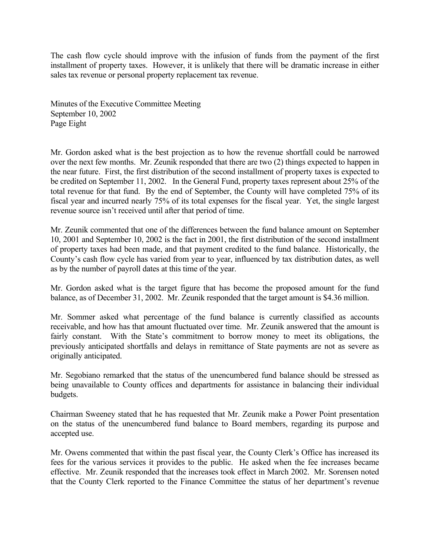The cash flow cycle should improve with the infusion of funds from the payment of the first installment of property taxes. However, it is unlikely that there will be dramatic increase in either sales tax revenue or personal property replacement tax revenue.

Minutes of the Executive Committee Meeting September 10, 2002 Page Eight

Mr. Gordon asked what is the best projection as to how the revenue shortfall could be narrowed over the next few months. Mr. Zeunik responded that there are two (2) things expected to happen in the near future. First, the first distribution of the second installment of property taxes is expected to be credited on September 11, 2002. In the General Fund, property taxes represent about 25% of the total revenue for that fund. By the end of September, the County will have completed 75% of its fiscal year and incurred nearly 75% of its total expenses for the fiscal year. Yet, the single largest revenue source isn't received until after that period of time.

Mr. Zeunik commented that one of the differences between the fund balance amount on September 10, 2001 and September 10, 2002 is the fact in 2001, the first distribution of the second installment of property taxes had been made, and that payment credited to the fund balance. Historically, the County's cash flow cycle has varied from year to year, influenced by tax distribution dates, as well as by the number of payroll dates at this time of the year.

Mr. Gordon asked what is the target figure that has become the proposed amount for the fund balance, as of December 31, 2002. Mr. Zeunik responded that the target amount is \$4.36 million.

Mr. Sommer asked what percentage of the fund balance is currently classified as accounts receivable, and how has that amount fluctuated over time. Mr. Zeunik answered that the amount is fairly constant. With the State's commitment to borrow money to meet its obligations, the previously anticipated shortfalls and delays in remittance of State payments are not as severe as originally anticipated.

Mr. Segobiano remarked that the status of the unencumbered fund balance should be stressed as being unavailable to County offices and departments for assistance in balancing their individual budgets.

Chairman Sweeney stated that he has requested that Mr. Zeunik make a Power Point presentation on the status of the unencumbered fund balance to Board members, regarding its purpose and accepted use.

Mr. Owens commented that within the past fiscal year, the County Clerk's Office has increased its fees for the various services it provides to the public. He asked when the fee increases became effective. Mr. Zeunik responded that the increases took effect in March 2002. Mr. Sorensen noted that the County Clerk reported to the Finance Committee the status of her department's revenue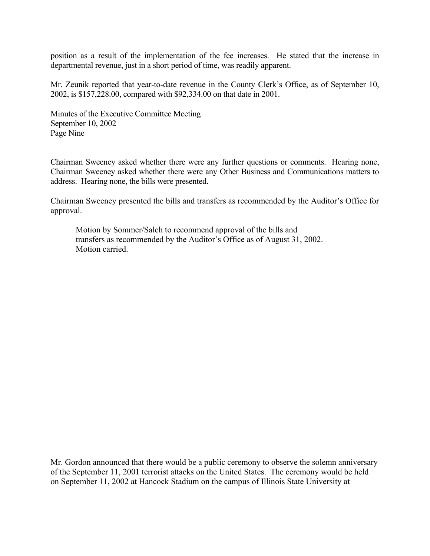position as a result of the implementation of the fee increases. He stated that the increase in departmental revenue, just in a short period of time, was readily apparent.

Mr. Zeunik reported that year-to-date revenue in the County Clerk's Office, as of September 10, 2002, is \$157,228.00, compared with \$92,334.00 on that date in 2001.

Minutes of the Executive Committee Meeting September 10, 2002 Page Nine

Chairman Sweeney asked whether there were any further questions or comments. Hearing none, Chairman Sweeney asked whether there were any Other Business and Communications matters to address. Hearing none, the bills were presented.

Chairman Sweeney presented the bills and transfers as recommended by the Auditor's Office for approval.

Motion by Sommer/Salch to recommend approval of the bills and transfers as recommended by the Auditor's Office as of August 31, 2002. Motion carried.

Mr. Gordon announced that there would be a public ceremony to observe the solemn anniversary of the September 11, 2001 terrorist attacks on the United States. The ceremony would be held on September 11, 2002 at Hancock Stadium on the campus of Illinois State University at